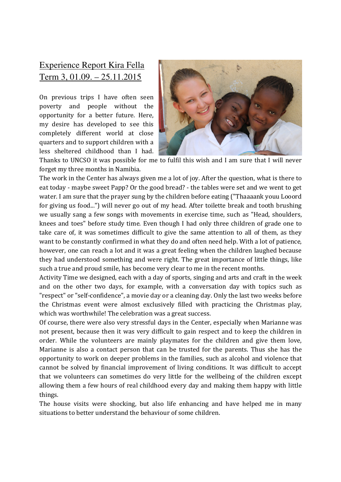## Experience Report Kira Fella Term 3, 01.09. – 25.11.2015

On previous trips I have often seen poverty and people without the opportunity for a better future. Here, my desire has developed to see this completely different world at close quarters and to support children with a less sheltered childhood than I had.



Thanks to UNCSO it was possible for me to fulfil this wish and I am sure that I will never forget my three months in Namibia.

The work in the Center has always given me a lot of joy. After the question, what is there to eat today - maybe sweet Papp? Or the good bread? - the tables were set and we went to get water. I am sure that the prayer sung by the children before eating ("Thaaaank youu Looord for giving us food...") will never go out of my head. After toilette break and tooth brushing we usually sang a few songs with movements in exercise time, such as "Head, shoulders, knees and toes" before study time. Even though I had only three children of grade one to take care of, it was sometimes difficult to give the same attention to all of them, as they want to be constantly confirmed in what they do and often need help. With a lot of patience, however, one can reach a lot and it was a great feeling when the children laughed because they had understood something and were right. The great importance of little things, like such a true and proud smile, has become very clear to me in the recent months.

Activity Time we designed, each with a day of sports, singing and arts and craft in the week and on the other two days, for example, with a conversation day with topics such as "respect" or "self-confidence", a movie day or a cleaning day. Only the last two weeks before the Christmas event were almost exclusively filled with practicing the Christmas play, which was worthwhile! The celebration was a great success.

Of course, there were also very stressful days in the Center, especially when Marianne was not present, because then it was very difficult to gain respect and to keep the children in order. While the volunteers are mainly playmates for the children and give them love, Marianne is also a contact person that can be trusted for the parents. Thus she has the opportunity to work on deeper problems in the families, such as alcohol and violence that cannot be solved by financial improvement of living conditions. It was difficult to accept that we volunteers can sometimes do very little for the wellbeing of the children except allowing them a few hours of real childhood every day and making them happy with little things.

The house visits were shocking, but also life enhancing and have helped me in many situations to better understand the behaviour of some children.